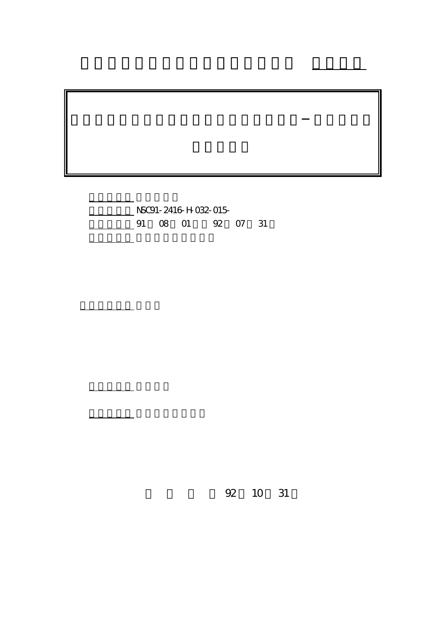計畫編號: NSC91-2416-H-032-015- 08 01 92 07 31

執行單位: 淡江大學金融研究所

計畫主持人: 聶建中

報告類型: 精簡報告

。<br>在前書 : 本計畫可公開查詢

行政院國家科學委員會專題研究計畫 成果報告

92 10 31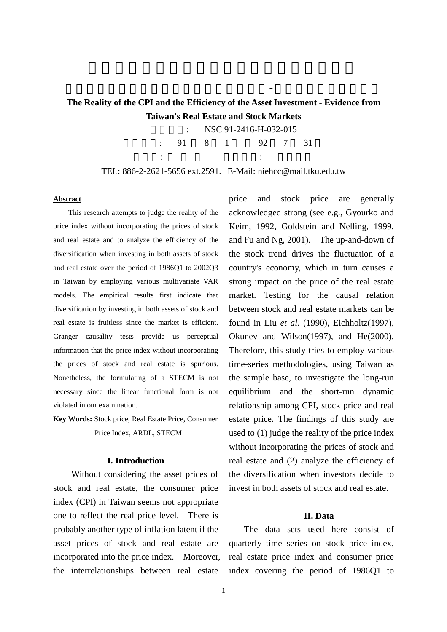# **The Reality of the CPI and the Efficiency of the Asset Investment - Evidence from Taiwan's Real Estate and Stock Markets**

物價指數之真實性與資產投資之效率性探討-台灣房地產與股市經驗

NSC 91-2416-H-032-015

執行期間: 91 8 1 92 7 31 主持人: 執行單位: 淡江大學

TEL: 886-2-2621-5656 ext.2591. E-Mail: niehcc@mail.tku.edu.tw

#### **Abstract**

 This research attempts to judge the reality of the price index without incorporating the prices of stock and real estate and to analyze the efficiency of the diversification when investing in both assets of stock and real estate over the period of 1986Q1 to 2002Q3 in Taiwan by employing various multivariate VAR models. The empirical results first indicate that diversification by investing in both assets of stock and real estate is fruitless since the market is efficient. Granger causality tests provide us perceptual information that the price index without incorporating the prices of stock and real estate is spurious. Nonetheless, the formulating of a STECM is not necessary since the linear functional form is not violated in our examination.

**Key Words:** Stock price, Real Estate Price, Consumer Price Index, ARDL, STECM

#### **I. Introduction**

Without considering the asset prices of stock and real estate, the consumer price index (CPI) in Taiwan seems not appropriate one to reflect the real price level. There is probably another type of inflation latent if the asset prices of stock and real estate are incorporated into the price index. Moreover, the interrelationships between real estate

price and stock price are generally acknowledged strong (see e.g., Gyourko and Keim, 1992, Goldstein and Nelling, 1999, and Fu and Ng, 2001). The up-and-down of the stock trend drives the fluctuation of a country's economy, which in turn causes a strong impact on the price of the real estate market. Testing for the causal relation between stock and real estate markets can be found in Liu *et al.* (1990), Eichholtz(1997), Okunev and Wilson(1997), and He(2000). Therefore, this study tries to employ various time-series methodologies, using Taiwan as the sample base, to investigate the long-run equilibrium and the short-run dynamic relationship among CPI, stock price and real estate price. The findings of this study are used to (1) judge the reality of the price index without incorporating the prices of stock and real estate and (2) analyze the efficiency of the diversification when investors decide to invest in both assets of stock and real estate.

### **II. Data**

The data sets used here consist of quarterly time series on stock price index, real estate price index and consumer price index covering the period of 1986Q1 to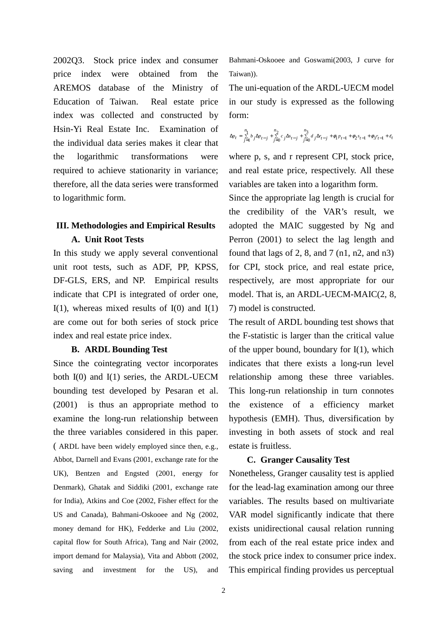2002Q3. Stock price index and consumer price index were obtained from the AREMOS database of the Ministry of Education of Taiwan. Real estate price index was collected and constructed by Hsin-Yi Real Estate Inc. Examination of the individual data series makes it clear that the logarithmic transformations were required to achieve stationarity in variance; therefore, all the data series were transformed to logarithmic form.

## **III. Methodologies and Empirical Results A. Unit Root Tests**

In this study we apply several conventional unit root tests, such as ADF, PP, KPSS, DF-GLS, ERS, and NP. Empirical results indicate that CPI is integrated of order one, I(1), whereas mixed results of  $I(0)$  and  $I(1)$ are come out for both series of stock price index and real estate price index.

### **B. ARDL Bounding Test**

Since the cointegrating vector incorporates both I(0) and I(1) series, the ARDL-UECM bounding test developed by Pesaran et al. (2001) is thus an appropriate method to examine the long-run relationship between the three variables considered in this paper. ( ARDL have been widely employed since then, e.g., Abbot, Darnell and Evans (2001, exchange rate for the UK), Bentzen and Engsted (2001, energy for Denmark), Ghatak and Siddiki (2001, exchange rate for India), Atkins and Coe (2002, Fisher effect for the US and Canada), Bahmani-Oskooee and Ng (2002, money demand for HK), Fedderke and Liu (2002, capital flow for South Africa), Tang and Nair (2002, import demand for Malaysia), Vita and Abbott (2002, saving and investment for the US), and

Bahmani-Oskooee and Goswami(2003, J curve for Taiwan)).

The uni-equation of the ARDL-UECM model in our study is expressed as the following form:

$$
\Delta p_t = \sum_{j=1}^{n_1} b_j \Delta p_{t-j} + \sum_{j=0}^{n_2} c_j \Delta s_{t-j} + \sum_{j=0}^{n_3} d_j \Delta r_{t-j} + \phi_1 p_{t-1} + \phi_2 s_{t-1} + \phi_3 r_{t-1} + \varepsilon_t
$$

where p, s, and r represent CPI, stock price, and real estate price, respectively. All these variables are taken into a logarithm form.

Since the appropriate lag length is crucial for the credibility of the VAR's result, we adopted the MAIC suggested by Ng and Perron (2001) to select the lag length and found that lags of 2, 8, and 7  $(n1, n2, and n3)$ for CPI, stock price, and real estate price, respectively, are most appropriate for our model. That is, an ARDL-UECM-MAIC(2, 8, 7) model is constructed.

The result of ARDL bounding test shows that the F-statistic is larger than the critical value of the upper bound, boundary for I(1), which indicates that there exists a long-run level relationship among these three variables. This long-run relationship in turn connotes the existence of a efficiency market hypothesis (EMH). Thus, diversification by investing in both assets of stock and real estate is fruitless.

### **C. Granger Causality Test**

Nonetheless, Granger causality test is applied for the lead-lag examination among our three variables. The results based on multivariate VAR model significantly indicate that there exists unidirectional causal relation running from each of the real estate price index and the stock price index to consumer price index. This empirical finding provides us perceptual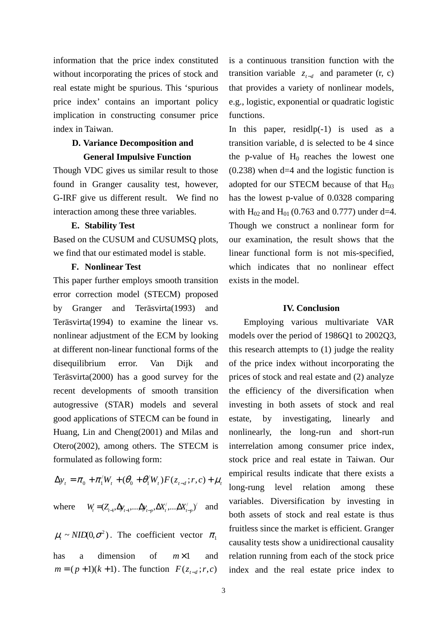information that the price index constituted without incorporating the prices of stock and real estate might be spurious. This 'spurious price index' contains an important policy implication in constructing consumer price index in Taiwan.

## **D. Variance Decomposition and General Impulsive Function**

Though VDC gives us similar result to those found in Granger causality test, however, G-IRF give us different result. We find no interaction among these three variables.

### **E. Stability Test**

Based on the CUSUM and CUSUMSQ plots, we find that our estimated model is stable.

### **F. Nonlinear Test**

This paper further employs smooth transition error correction model (STECM) proposed by Granger and Teräsvirta(1993) and Teräsvirta(1994) to examine the linear vs. nonlinear adjustment of the ECM by looking at different non-linear functional forms of the disequilibrium error. Van Dijk and Teräsvirta(2000) has a good survey for the recent developments of smooth transition autogressive (STAR) models and several good applications of STECM can be found in Huang, Lin and Cheng(2001) and Milas and Otero(2002), among others. The STECM is formulated as following form:

$$
\Delta y_{t} = \pi_{0} + \pi_{1}^{'}W_{t} + (\theta_{0} + \theta_{1}^{'}W_{t})F(z_{t-d}; r, c) + \mu_{t}
$$

 $W_t = (Z_{t-1}, \Delta y_{t-1}, \dots, \Delta y_{t-p}, \Delta X_t', \dots, \Delta X_{t-p}')$  and

 $\mu_t \sim NID(0, \sigma^2)$ . The coefficient vector  $\pi_1$ has a dimension of *m*×1 and  $m = (p+1)(k+1)$ . The function  $F(z_{t-d}; r, c)$ 

is a continuous transition function with the transition variable  $z_{t-d}$  and parameter (r, c) that provides a variety of nonlinear models, e.g., logistic, exponential or quadratic logistic functions.

In this paper, residlp(-1) is used as a transition variable, d is selected to be 4 since the p-value of  $H_0$  reaches the lowest one (0.238) when d=4 and the logistic function is adopted for our STECM because of that  $H_{03}$ has the lowest p-value of 0.0328 comparing with  $H_{02}$  and  $H_{01}$  (0.763 and 0.777) under d=4. Though we construct a nonlinear form for our examination, the result shows that the linear functional form is not mis-specified, which indicates that no nonlinear effect exists in the model.

### **IV. Conclusion**

Employing various multivariate VAR models over the period of 1986Q1 to 2002Q3, this research attempts to (1) judge the reality of the price index without incorporating the prices of stock and real estate and (2) analyze the efficiency of the diversification when investing in both assets of stock and real estate, by investigating, linearly and nonlinearly, the long-run and short-run interrelation among consumer price index, stock price and real estate in Taiwan. Our empirical results indicate that there exists a long-rung level relation among these variables. Diversification by investing in both assets of stock and real estate is thus fruitless since the market is efficient. Granger causality tests show a unidirectional causality relation running from each of the stock price index and the real estate price index to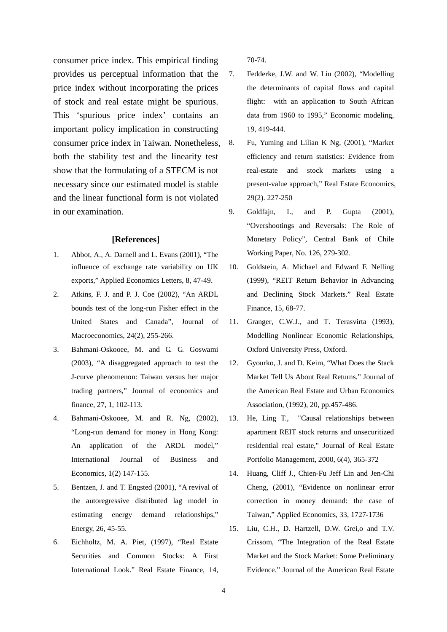consumer price index. This empirical finding provides us perceptual information that the price index without incorporating the prices of stock and real estate might be spurious. This 'spurious price index' contains an important policy implication in constructing consumer price index in Taiwan. Nonetheless, both the stability test and the linearity test show that the formulating of a STECM is not necessary since our estimated model is stable and the linear functional form is not violated in our examination.

### **[References]**

- 1. Abbot, A., A. Darnell and L. Evans (2001), "The influence of exchange rate variability on UK exports," Applied Economics Letters, 8, 47-49.
- 2. Atkins, F. J. and P. J. Coe (2002), "An ARDL bounds test of the long-run Fisher effect in the United States and Canada", Journal of Macroeconomics, 24(2), 255-266.
- 3. Bahmani-Oskooee, M. and G. G. Goswami (2003), "A disaggregated approach to test the J-curve phenomenon: Taiwan versus her major trading partners," Journal of economics and finance, 27, 1, 102-113.
- 4. Bahmani-Oskooee, M. and R. Ng, (2002), "Long-run demand for money in Hong Kong: An application of the ARDL model," International Journal of Business and Economics, 1(2) 147-155.
- 5. Bentzen, J. and T. Engsted (2001), "A revival of the autoregressive distributed lag model in estimating energy demand relationships," Energy, 26, 45-55.
- 6. Eichholtz, M. A. Piet, (1997), "Real Estate Securities and Common Stocks: A First International Look." Real Estate Finance, 14,

70-74.

- 7. Fedderke, J.W. and W. Liu (2002), "Modelling the determinants of capital flows and capital flight: with an application to South African data from 1960 to 1995," Economic modeling, 19, 419-444.
- 8. Fu, Yuming and Lilian K Ng, (2001), "Market efficiency and return statistics: Evidence from real-estate and stock markets using a present-value approach," Real Estate Economics, 29(2). 227-250
- 9. Goldfajn, I., and P. Gupta (2001), "Overshootings and Reversals: The Role of Monetary Policy", Central Bank of Chile Working Paper, No. 126, 279-302.
- 10. Goldstein, A. Michael and Edward F. Nelling (1999), "REIT Return Behavior in Advancing and Declining Stock Markets." Real Estate Finance, 15, 68-77.
- 11. Granger, C.W.J., and T. Terasvirta (1993), Modelling Nonlinear Economic Relationships, Oxford University Press, Oxford.
- 12. Gyourko, J. and D. Keim, "What Does the Stack Market Tell Us About Real Returns." Journal of the American Real Estate and Urban Economics Association, (1992), 20, pp.457-486.
- 13. He, Ling T., "Causal relationships between apartment REIT stock returns and unsecuritized residential real estate," Journal of Real Estate Portfolio Management, 2000, 6(4), 365-372
- 14. Huang, Cliff J., Chien-Fu Jeff Lin and Jen-Chi Cheng, (2001), "Evidence on nonlinear error correction in money demand: the case of Taiwan," Applied Economics, 33, 1727-1736
- 15. Liu, C.H., D. Hartzell, D.W. Grei,o and T.V. Crissom, "The Integration of the Real Estate Market and the Stock Market: Some Preliminary Evidence." Journal of the American Real Estate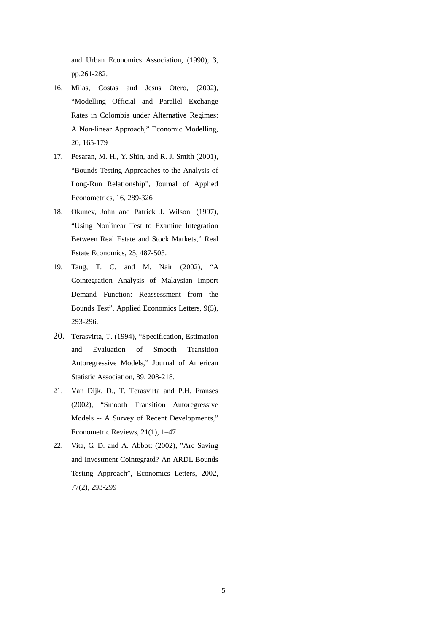and Urban Economics Association, (1990), 3, pp.261-282.

- 16. Milas, Costas and Jesus Otero, (2002), "Modelling Official and Parallel Exchange Rates in Colombia under Alternative Regimes: A Non-linear Approach," Economic Modelling, 20, 165-179
- 17. Pesaran, M. H., Y. Shin, and R. J. Smith (2001), "Bounds Testing Approaches to the Analysis of Long-Run Relationship", Journal of Applied Econometrics, 16, 289-326
- 18. Okunev, John and Patrick J. Wilson. (1997), "Using Nonlinear Test to Examine Integration Between Real Estate and Stock Markets," Real Estate Economics, 25, 487-503.
- 19. Tang, T. C. and M. Nair (2002), "A Cointegration Analysis of Malaysian Import Demand Function: Reassessment from the Bounds Test", Applied Economics Letters, 9(5), 293-296.
- 20. Terasvirta, T. (1994), "Specification, Estimation and Evaluation of Smooth Transition Autoregressive Models," Journal of American Statistic Association, 89, 208-218.
- 21. Van Dijk, D., T. Terasvirta and P.H. Franses (2002), "Smooth Transition Autoregressive Models -- A Survey of Recent Developments," Econometric Reviews, 21(1), 1–47
- 22. Vita, G. D. and A. Abbott (2002), "Are Saving and Investment Cointegratd? An ARDL Bounds Testing Approach", Economics Letters, 2002, 77(2), 293-299